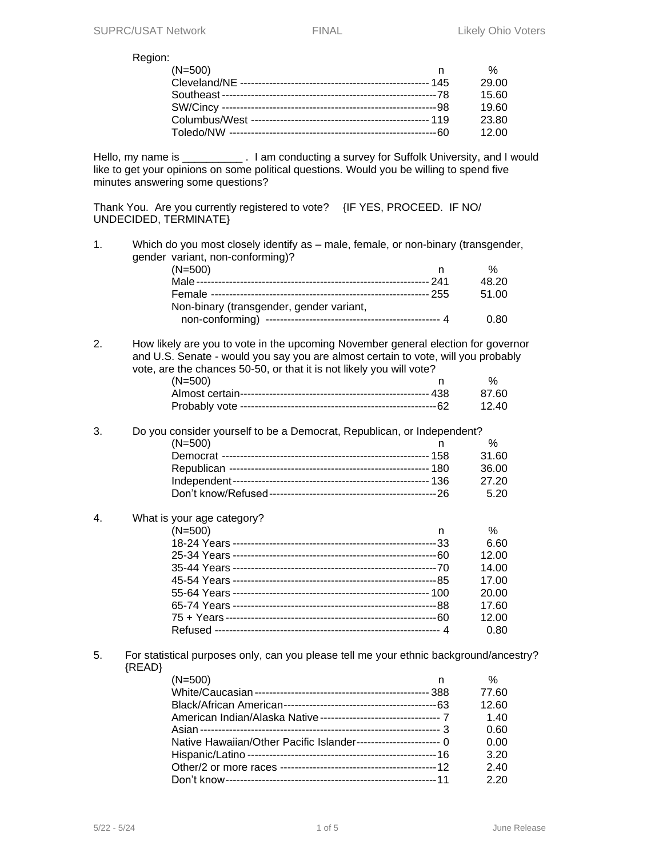Region:

| $(N=500)$ | %     |
|-----------|-------|
|           | 29.00 |
|           | 15.60 |
|           | 19.60 |
|           | 23.80 |
|           | 12.00 |

Hello, my name is \_\_\_\_\_\_\_\_\_\_\_\_. I am conducting a survey for Suffolk University, and I would like to get your opinions on some political questions. Would you be willing to spend five minutes answering some questions?

Thank You. Are you currently registered to vote? {IF YES, PROCEED. IF NO/ UNDECIDED, TERMINATE}

1. Which do you most closely identify as – male, female, or non-binary (transgender, gender variant, non-conforming)?

| $(N=500)$                                | %     |
|------------------------------------------|-------|
|                                          | 48.20 |
|                                          | 51.00 |
| Non-binary (transgender, gender variant, |       |
|                                          | 0.80  |

2. How likely are you to vote in the upcoming November general election for governor and U.S. Senate - would you say you are almost certain to vote, will you probably vote, are the chances 50-50, or that it is not likely you will vote?

| $(N=500)$ |  |
|-----------|--|
|           |  |
|           |  |

## 3. Do you consider yourself to be a Democrat, Republican, or Independent?  $(N=500)$  n %

| 31.60  |
|--------|
|        |
| .36.00 |
| -27.20 |
|        |
|        |

### 4. What is your age category?

| $(N=500)$ | %     |
|-----------|-------|
|           | 6.60  |
|           | 12.00 |
|           | 14.00 |
|           | 17.00 |
|           | 20.00 |
|           | 17.60 |
|           | 12.00 |
|           | 0.80  |

5. For statistical purposes only, can you please tell me your ethnic background/ancestry? {READ}

| (N=500)<br>n                                                    | $\%$  |
|-----------------------------------------------------------------|-------|
|                                                                 | 77.60 |
|                                                                 | 12.60 |
|                                                                 | 1.40  |
|                                                                 | 0.60  |
| Native Hawaiian/Other Pacific Islander----------------------- 0 | 0.00  |
|                                                                 | 3.20  |
|                                                                 | 2.40  |
|                                                                 | 2.20  |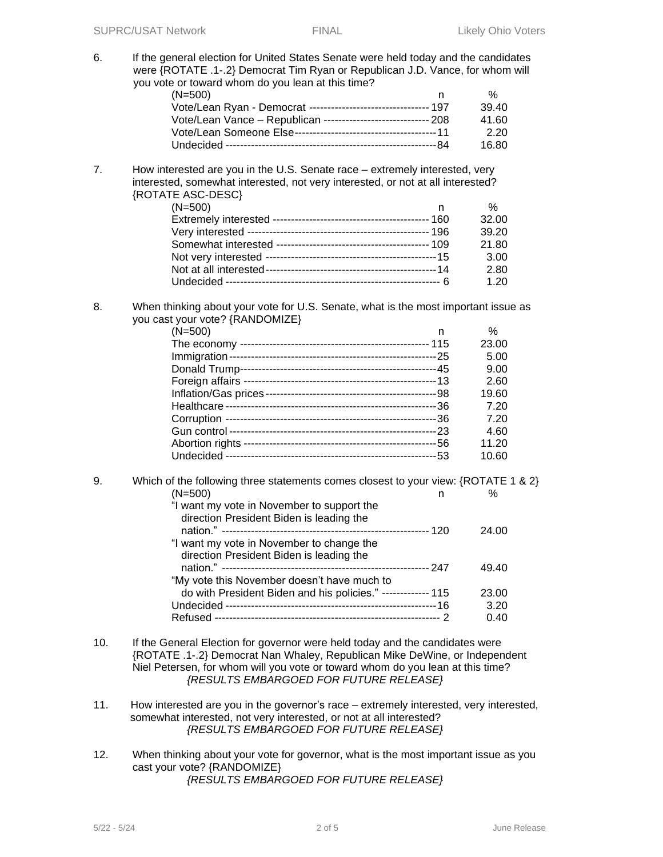6. If the general election for United States Senate were held today and the candidates were {ROTATE .1-.2} Democrat Tim Ryan or Republican J.D. Vance, for whom will you vote or toward whom do you lean at this time?

| $(N=500)$                                                       | %     |
|-----------------------------------------------------------------|-------|
| Vote/Lean Ryan - Democrat --------------------------------- 197 | 39.40 |
| Vote/Lean Vance - Republican ----------------------------- 208  | 41.60 |
|                                                                 | 2.20  |
|                                                                 | 16.80 |

7. How interested are you in the U.S. Senate race – extremely interested, very interested, somewhat interested, not very interested, or not at all interested? {ROTATE ASC-DESC}

| $(N=500)$ | ℅     |
|-----------|-------|
|           | 32.00 |
|           | 39.20 |
|           | 21.80 |
|           | 3.00  |
|           | 2.80  |
|           | 1.20  |

8. When thinking about your vote for U.S. Senate, what is the most important issue as you cast your vote? {RANDOMIZE}

| $(N=500)$       | n   | $\%$  |
|-----------------|-----|-------|
|                 |     | 23.00 |
|                 |     | 5.00  |
|                 |     | 9.00  |
| Foreign affairs |     | 2.60  |
|                 |     | 19.60 |
| Healthcare -    |     | 7.20  |
|                 | -36 | 7.20  |
|                 | -23 | 4.60  |
|                 | -56 | 11.20 |
|                 | -53 | 10.60 |

#### 9. Which of the following three statements comes closest to your view: {ROTATE 1 & 2}  $(N=500)$  n % "I want my vote in November to support the direction President Biden is leading the nation." --------------------------------------------------------- 120 24.00 "I want my vote in November to change the direction President Biden is leading the nation." --------------------------------------------------------- 247 49.40 "My vote this November doesn't have much to do with President Biden and his policies." ------------- 115 23.00

Undecided ----------------------------------------------------------16 3.20 Refused -------------------------------------------------------------- 2 0.40

- 10. If the General Election for governor were held today and the candidates were {ROTATE .1-.2} Democrat Nan Whaley, Republican Mike DeWine, or Independent Niel Petersen, for whom will you vote or toward whom do you lean at this time? *{RESULTS EMBARGOED FOR FUTURE RELEASE}*
- 11. How interested are you in the governor's race extremely interested, very interested, somewhat interested, not very interested, or not at all interested? *{RESULTS EMBARGOED FOR FUTURE RELEASE}*
- 12. When thinking about your vote for governor, what is the most important issue as you cast your vote? {RANDOMIZE} *{RESULTS EMBARGOED FOR FUTURE RELEASE}*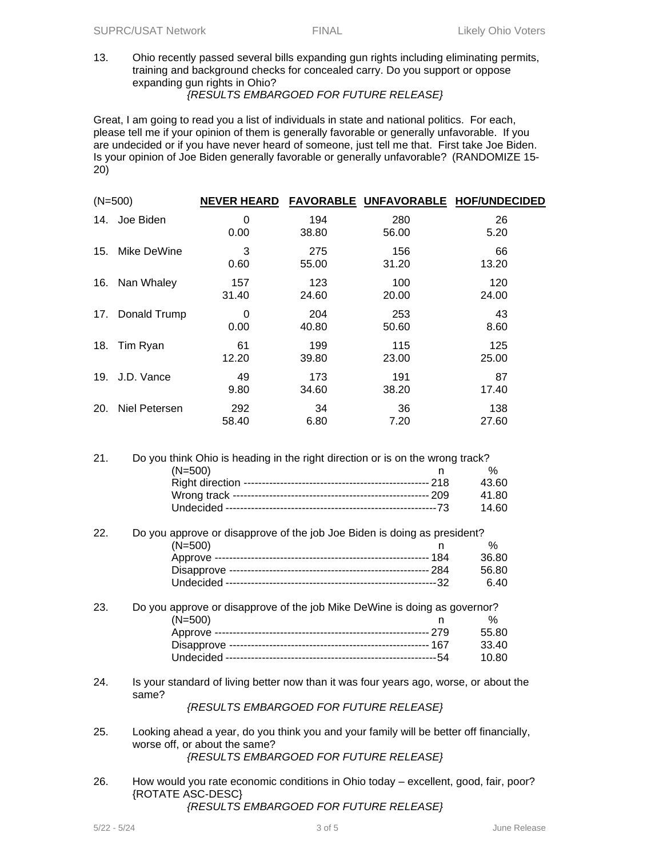13. Ohio recently passed several bills expanding gun rights including eliminating permits, training and background checks for concealed carry. Do you support or oppose expanding gun rights in Ohio?

## *{RESULTS EMBARGOED FOR FUTURE RELEASE}*

Great, I am going to read you a list of individuals in state and national politics. For each, please tell me if your opinion of them is generally favorable or generally unfavorable. If you are undecided or if you have never heard of someone, just tell me that. First take Joe Biden. Is your opinion of Joe Biden generally favorable or generally unfavorable? (RANDOMIZE 15- 20)

| $(N=500)$  |               | <b>NEVER HEARD</b> |              |              | FAVORABLE UNFAVORABLE HOF/UNDECIDED |
|------------|---------------|--------------------|--------------|--------------|-------------------------------------|
| 14.        | Joe Biden     | 0<br>0.00          | 194<br>38.80 | 280<br>56.00 | 26<br>5.20                          |
| 15.        | Mike DeWine   | 3<br>0.60          | 275<br>55.00 | 156<br>31.20 | 66<br>13.20                         |
| 16.        | Nan Whaley    | 157<br>31.40       | 123<br>24.60 | 100<br>20.00 | 120<br>24.00                        |
| 17.        | Donald Trump  | 0<br>0.00          | 204<br>40.80 | 253<br>50.60 | 43<br>8.60                          |
| 18.        | Tim Ryan      | 61<br>12.20        | 199<br>39.80 | 115<br>23.00 | 125<br>25.00                        |
| 19.        | J.D. Vance    | 49<br>9.80         | 173<br>34.60 | 191<br>38.20 | 87<br>17.40                         |
| <b>20.</b> | Niel Petersen | 292<br>58.40       | 34<br>6.80   | 36<br>7.20   | 138<br>27.60                        |

| 21. | Do you think Ohio is heading in the right direction or is on the wrong track? |       |
|-----|-------------------------------------------------------------------------------|-------|
|     | $(N=500)$                                                                     | %     |
|     |                                                                               | 43.60 |
|     |                                                                               | 41.80 |
|     |                                                                               | 14.60 |

| 22. | Do you approve or disapprove of the job Joe Biden is doing as president? |       |
|-----|--------------------------------------------------------------------------|-------|
|     | $(N=500)$                                                                | $\%$  |
|     |                                                                          | 36.80 |
|     |                                                                          | 56.80 |
|     |                                                                          | 6.40  |

| 23. | Do you approve or disapprove of the job Mike DeWine is doing as governor? |       |
|-----|---------------------------------------------------------------------------|-------|
|     | $(N=500)$                                                                 | %     |
|     |                                                                           | 55.80 |
|     |                                                                           | 33.40 |
|     |                                                                           | 10.80 |

24. Is your standard of living better now than it was four years ago, worse, or about the same?

*{RESULTS EMBARGOED FOR FUTURE RELEASE}*

- 25. Looking ahead a year, do you think you and your family will be better off financially, worse off, or about the same? *{RESULTS EMBARGOED FOR FUTURE RELEASE}*
- 26. How would you rate economic conditions in Ohio today excellent, good, fair, poor? {ROTATE ASC-DESC}

### *{RESULTS EMBARGOED FOR FUTURE RELEASE}*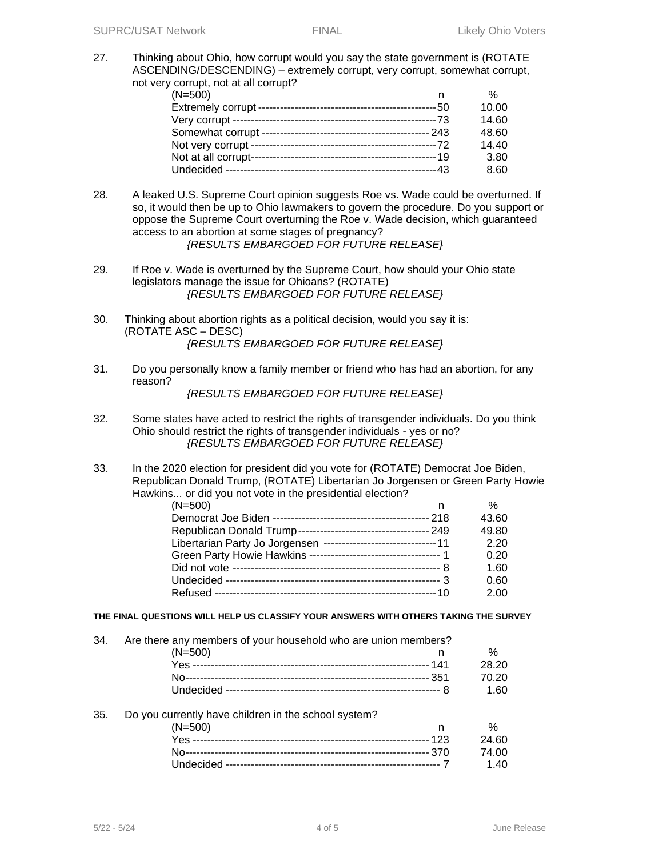27. Thinking about Ohio, how corrupt would you say the state government is (ROTATE ASCENDING/DESCENDING) – extremely corrupt, very corrupt, somewhat corrupt, not very corrupt, not at all corrupt?

| $(N=500)$ | $\%$  |
|-----------|-------|
|           | 10.00 |
|           | 14.60 |
|           | 48.60 |
|           | 14.40 |
|           | 3.80  |
|           | 8.60  |

28. A leaked U.S. Supreme Court opinion suggests Roe vs. Wade could be overturned. If so, it would then be up to Ohio lawmakers to govern the procedure. Do you support or oppose the Supreme Court overturning the Roe v. Wade decision, which guaranteed access to an abortion at some stages of pregnancy?

*{RESULTS EMBARGOED FOR FUTURE RELEASE}*

- 29. If Roe v. Wade is overturned by the Supreme Court, how should your Ohio state legislators manage the issue for Ohioans? (ROTATE) *{RESULTS EMBARGOED FOR FUTURE RELEASE}*
- 30. Thinking about abortion rights as a political decision, would you say it is: (ROTATE ASC – DESC) *{RESULTS EMBARGOED FOR FUTURE RELEASE}*
- 31. Do you personally know a family member or friend who has had an abortion, for any reason?

*{RESULTS EMBARGOED FOR FUTURE RELEASE}*

- 32. Some states have acted to restrict the rights of transgender individuals. Do you think Ohio should restrict the rights of transgender individuals - yes or no? *{RESULTS EMBARGOED FOR FUTURE RELEASE}*
- 33. In the 2020 election for president did you vote for (ROTATE) Democrat Joe Biden, Republican Donald Trump, (ROTATE) Libertarian Jo Jorgensen or Green Party Howie Hawkins... or did you not vote in the presidential election?

| (N=500)                                                           | $\%$  |
|-------------------------------------------------------------------|-------|
|                                                                   | 43.60 |
|                                                                   | 49.80 |
| Libertarian Party Jo Jorgensen --------------------------------11 | 2.20  |
| Green Party Howie Hawkins ----------------------------------- 1   | 0.20  |
|                                                                   | 1.60  |
|                                                                   | 0.60  |
|                                                                   | 2.00  |

#### **THE FINAL QUESTIONS WILL HELP US CLASSIFY YOUR ANSWERS WITH OTHERS TAKING THE SURVEY**

34. Are there any members of your household who are union members?  $(N=500)$  n %

#### 35. Do you currently have children in the school system?

| $(N=500)$ | $\frac{1}{2}$ |
|-----------|---------------|
|           |               |
|           |               |
|           |               |